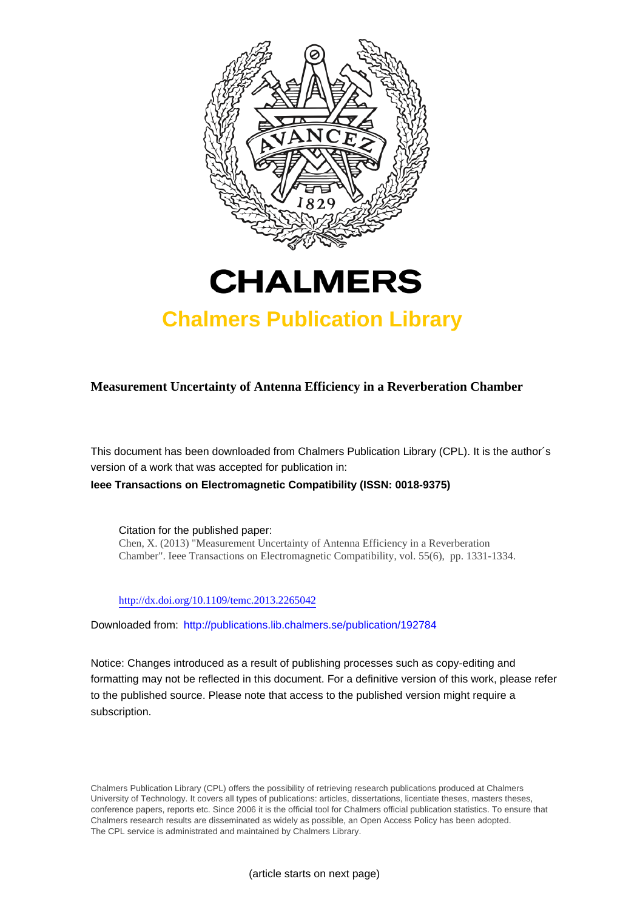



# **Chalmers Publication Library**

**Measurement Uncertainty of Antenna Efficiency in a Reverberation Chamber**

This document has been downloaded from Chalmers Publication Library (CPL). It is the author´s version of a work that was accepted for publication in:

**Ieee Transactions on Electromagnetic Compatibility (ISSN: 0018-9375)**

Citation for the published paper: Chen, X. (2013) "Measurement Uncertainty of Antenna Efficiency in a Reverberation Chamber". Ieee Transactions on Electromagnetic Compatibility, vol. 55(6), pp. 1331-1334.

<http://dx.doi.org/10.1109/temc.2013.2265042>

Downloaded from: <http://publications.lib.chalmers.se/publication/192784>

Notice: Changes introduced as a result of publishing processes such as copy-editing and formatting may not be reflected in this document. For a definitive version of this work, please refer to the published source. Please note that access to the published version might require a subscription.

Chalmers Publication Library (CPL) offers the possibility of retrieving research publications produced at Chalmers University of Technology. It covers all types of publications: articles, dissertations, licentiate theses, masters theses, conference papers, reports etc. Since 2006 it is the official tool for Chalmers official publication statistics. To ensure that Chalmers research results are disseminated as widely as possible, an Open Access Policy has been adopted. The CPL service is administrated and maintained by Chalmers Library.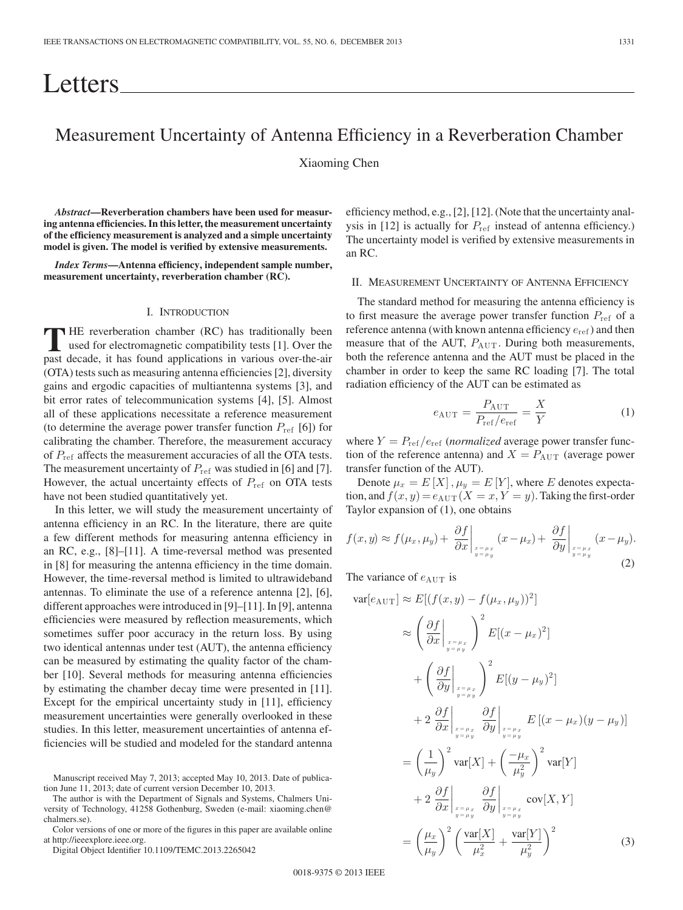# Letters

# Measurement Uncertainty of Antenna Efficiency in a Reverberation Chamber

Xiaoming Chen

*Abstract***—Reverberation chambers have been used for measuring antenna efficiencies. In this letter, the measurement uncertainty of the efficiency measurement is analyzed and a simple uncertainty model is given. The model is verified by extensive measurements.**

*Index Terms***—Antenna efficiency, independent sample number, measurement uncertainty, reverberation chamber (RC).**

#### I. INTRODUCTION

**T**HE reverberation chamber (RC) has traditionally been used for electromagnetic compatibility tests [1]. Over the past decade, it has found applications in various over-the-air (OTA) tests such as measuring antenna efficiencies [2], diversity gains and ergodic capacities of multiantenna systems [3], and bit error rates of telecommunication systems [4], [5]. Almost all of these applications necessitate a reference measurement (to determine the average power transfer function  $P_{ref}$  [6]) for calibrating the chamber. Therefore, the measurement accuracy of Pref affects the measurement accuracies of all the OTA tests. The measurement uncertainty of  $P_{ref}$  was studied in [6] and [7]. However, the actual uncertainty effects of  $P_{ref}$  on OTA tests have not been studied quantitatively yet.

In this letter, we will study the measurement uncertainty of antenna efficiency in an RC. In the literature, there are quite a few different methods for measuring antenna efficiency in an RC, e.g., [8]–[11]. A time-reversal method was presented in [8] for measuring the antenna efficiency in the time domain. However, the time-reversal method is limited to ultrawideband antennas. To eliminate the use of a reference antenna [2], [6], different approaches were introduced in [9]–[11]. In [9], antenna efficiencies were measured by reflection measurements, which sometimes suffer poor accuracy in the return loss. By using two identical antennas under test (AUT), the antenna efficiency can be measured by estimating the quality factor of the chamber [10]. Several methods for measuring antenna efficiencies by estimating the chamber decay time were presented in [11]. Except for the empirical uncertainty study in [11], efficiency measurement uncertainties were generally overlooked in these studies. In this letter, measurement uncertainties of antenna efficiencies will be studied and modeled for the standard antenna

The author is with the Department of Signals and Systems, Chalmers University of Technology, 41258 Gothenburg, Sweden (e-mail: xiaoming.chen@ chalmers.se).

Color versions of one or more of the figures in this paper are available online at http://ieeexplore.ieee.org.

Digital Object Identifier 10.1109/TEMC.2013.2265042

efficiency method, e.g., [2], [12]. (Note that the uncertainty analysis in [12] is actually for  $P_{ref}$  instead of antenna efficiency.) The uncertainty model is verified by extensive measurements in an RC.

## II. MEASUREMENT UNCERTAINTY OF ANTENNA EFFICIENCY

The standard method for measuring the antenna efficiency is to first measure the average power transfer function  $P_{\text{ref}}$  of a reference antenna (with known antenna efficiency  $e_{ref}$ ) and then measure that of the AUT,  $P_{\text{AUT}}$ . During both measurements, both the reference antenna and the AUT must be placed in the chamber in order to keep the same RC loading [7]. The total radiation efficiency of the AUT can be estimated as

$$
e_{\text{AUT}} = \frac{P_{\text{AUT}}}{P_{\text{ref}}/e_{\text{ref}}} = \frac{X}{Y}
$$
 (1)

where  $Y = P_{ref}/e_{ref}$  (*normalized* average power transfer function of the reference antenna) and  $X = P_{\text{AUT}}$  (average power transfer function of the AUT).

Denote  $\mu_x = E[X], \mu_y = E[Y]$ , where E denotes expectation, and  $f(x,y)=e_{\text{AUT}}$   $(X = x, Y = y)$ . Taking the first-order Taylor expansion of (1), one obtains

$$
f(x,y) \approx f(\mu_x, \mu_y) + \left. \frac{\partial f}{\partial x} \right|_{\substack{x = \mu_x \\ y = \mu_y}} (x - \mu_x) + \left. \frac{\partial f}{\partial y} \right|_{\substack{x = \mu_x \\ y = \mu_y}} (x - \mu_y).
$$
\n(2)

The variance of  $e_{\text{AUT}}$  is

$$
\begin{split}\n\text{var}[e_{\text{AUT}}] &\approx E[(f(x,y) - f(\mu_x, \mu_y))^2] \\
&\approx \left(\frac{\partial f}{\partial x}\bigg|_{x=\mu_x}^{\pi_{\mu_x}}\right)^2 E[(x-\mu_x)^2] \\
&+ \left(\frac{\partial f}{\partial y}\bigg|_{x=\mu_y}^{\pi_{\mu_y}}\right)^2 E[(y-\mu_y)^2] \\
&+ 2\left.\frac{\partial f}{\partial x}\bigg|_{x=\mu_x}^{\pi_{\mu_x}}\frac{\partial f}{\partial y}\bigg|_{x=\mu_x}^{\pi_{\mu_x}} E[(x-\mu_x)(y-\mu_y)] \\
&= \left(\frac{1}{\mu_y}\right)^2 \text{var}[X] + \left(\frac{-\mu_x}{\mu_y^2}\right)^2 \text{var}[Y] \\
&+ 2\left.\frac{\partial f}{\partial x}\bigg|_{x=\mu_y}^{\pi_{\mu_x}}\frac{\partial f}{\partial y}\bigg|_{x=\mu_y}^{\pi_{\mu_x}}\text{cov}[X, Y] \\
&= \left(\frac{\mu_x}{\mu_y}\right)^2 \left(\frac{\text{var}[X]}{\mu_x^2} + \frac{\text{var}[Y]}{\mu_y^2}\right)^2\n\end{split}
$$
\n(3)

Manuscript received May 7, 2013; accepted May 10, 2013. Date of publication June 11, 2013; date of current version December 10, 2013.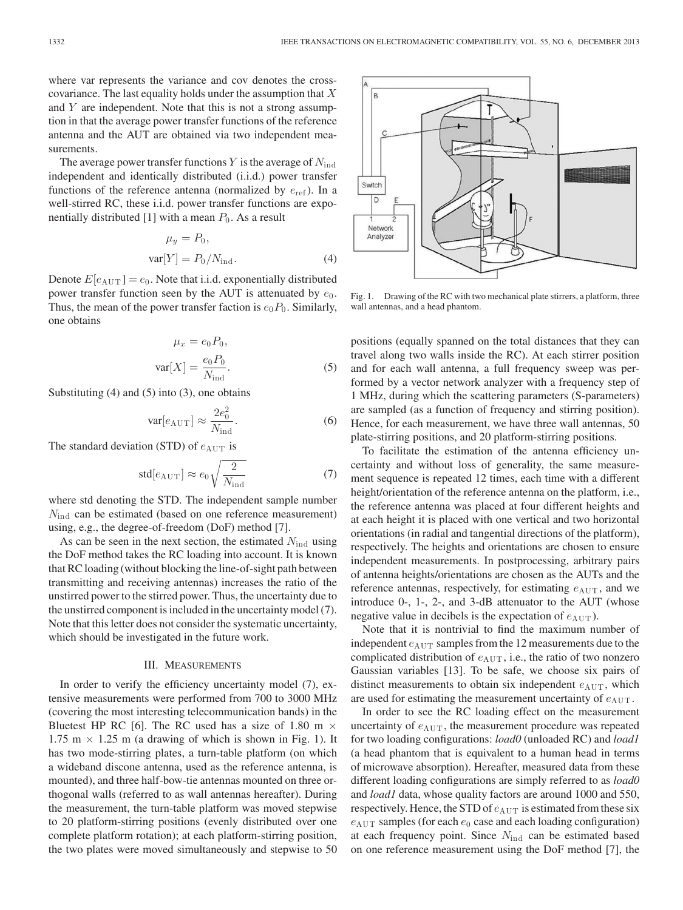where var represents the variance and cov denotes the crosscovariance. The last equality holds under the assumption that  $X$ and  $Y$  are independent. Note that this is not a strong assumption in that the average power transfer functions of the reference antenna and the AUT are obtained via two independent measurements.

The average power transfer functions Y is the average of  $N_{\text{ind}}$ independent and identically distributed (i.i.d.) power transfer functions of the reference antenna (normalized by  $e_{ref}$ ). In a well-stirred RC, these i.i.d. power transfer functions are exponentially distributed [1] with a mean  $P_0$ . As a result

$$
\mu_y = P_0,
$$
  
var[ $Y$ ] =  $P_0/N_{\text{ind}}$ . (4)

Denote  $E[e_{\text{AUT}}] = e_0$ . Note that i.i.d. exponentially distributed power transfer function seen by the AUT is attenuated by  $e_0$ . Thus, the mean of the power transfer faction is  $e_0P_0$ . Similarly, one obtains

$$
\mu_x = e_0 P_0,
$$
  

$$
var[X] = \frac{e_0 P_0}{N_{ind}}.
$$
 (5)

Substituting (4) and (5) into (3), one obtains

$$
\text{var}[e_{\text{AUT}}] \approx \frac{2e_0^2}{N_{\text{ind}}}.\tag{6}
$$

The standard deviation (STD) of  $e_{\text{AUT}}$  is

$$
\text{std}[e_{\text{AUT}}] \approx e_0 \sqrt{\frac{2}{N_{\text{ind}}}}
$$
 (7)

where std denoting the STD. The independent sample number  $N_{\text{ind}}$  can be estimated (based on one reference measurement) using, e.g., the degree-of-freedom (DoF) method [7].

As can be seen in the next section, the estimated  $N_{\text{ind}}$  using the DoF method takes the RC loading into account. It is known that RC loading (without blocking the line-of-sight path between transmitting and receiving antennas) increases the ratio of the unstirred power to the stirred power. Thus, the uncertainty due to the unstirred component is included in the uncertainty model (7). Note that this letter does not consider the systematic uncertainty, which should be investigated in the future work.

### III. MEASUREMENTS

In order to verify the efficiency uncertainty model (7), extensive measurements were performed from 700 to 3000 MHz (covering the most interesting telecommunication bands) in the Bluetest HP RC [6]. The RC used has a size of 1.80 m  $\times$ 1.75 m  $\times$  1.25 m (a drawing of which is shown in Fig. 1). It has two mode-stirring plates, a turn-table platform (on which a wideband discone antenna, used as the reference antenna, is mounted), and three half-bow-tie antennas mounted on three orthogonal walls (referred to as wall antennas hereafter). During the measurement, the turn-table platform was moved stepwise to 20 platform-stirring positions (evenly distributed over one complete platform rotation); at each platform-stirring position, the two plates were moved simultaneously and stepwise to 50



Fig. 1. Drawing of the RC with two mechanical plate stirrers, a platform, three wall antennas, and a head phantom.

positions (equally spanned on the total distances that they can travel along two walls inside the RC). At each stirrer position and for each wall antenna, a full frequency sweep was performed by a vector network analyzer with a frequency step of 1 MHz, during which the scattering parameters (S-parameters) are sampled (as a function of frequency and stirring position). Hence, for each measurement, we have three wall antennas, 50 plate-stirring positions, and 20 platform-stirring positions.

To facilitate the estimation of the antenna efficiency uncertainty and without loss of generality, the same measurement sequence is repeated 12 times, each time with a different height/orientation of the reference antenna on the platform, i.e., the reference antenna was placed at four different heights and at each height it is placed with one vertical and two horizontal orientations (in radial and tangential directions of the platform), respectively. The heights and orientations are chosen to ensure independent measurements. In postprocessing, arbitrary pairs of antenna heights/orientations are chosen as the AUTs and the reference antennas, respectively, for estimating  $e_{\text{AUT}}$ , and we introduce 0-, 1-, 2-, and 3-dB attenuator to the AUT (whose negative value in decibels is the expectation of  $e_{\text{AUT}}$ ).

Note that it is nontrivial to find the maximum number of independent  $e_{\text{AUT}}$  samples from the 12 measurements due to the complicated distribution of  $e_{\text{AUT}}$ , i.e., the ratio of two nonzero Gaussian variables [13]. To be safe, we choose six pairs of distinct measurements to obtain six independent  $e_{\text{AUT}}$ , which are used for estimating the measurement uncertainty of  $e_{\text{AUT}}$ .

In order to see the RC loading effect on the measurement uncertainty of  $e_{\text{AUT}}$ , the measurement procedure was repeated for two loading configurations: *load0* (unloaded RC) and *load1* (a head phantom that is equivalent to a human head in terms of microwave absorption). Hereafter, measured data from these different loading configurations are simply referred to as *load0* and *load1* data, whose quality factors are around 1000 and 550, respectively. Hence, the STD of  $e_{\text{AUT}}$  is estimated from these six  $e_{\text{AUT}}$  samples (for each  $e_0$  case and each loading configuration) at each frequency point. Since  $N_{\text{ind}}$  can be estimated based on one reference measurement using the DoF method [7], the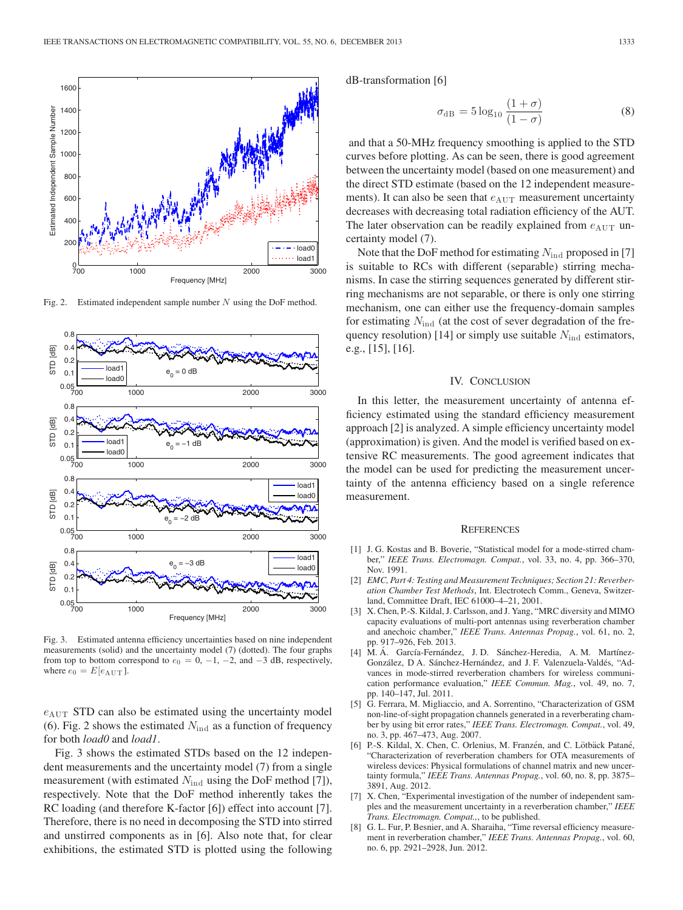

Fig. 2. Estimated independent sample number  $N$  using the DoF method.



Fig. 3. Estimated antenna efficiency uncertainties based on nine independent measurements (solid) and the uncertainty model (7) (dotted). The four graphs from top to bottom correspond to  $e_0 = 0, -1, -2,$  and  $-3$  dB, respectively, where  $\bar{e_0}=E[e_{\rm AUT}]$  .

 $e_{\text{AUT}}$  STD can also be estimated using the uncertainty model (6). Fig. 2 shows the estimated  $N_{\text{ind}}$  as a function of frequency for both *load0* and *load1*.

Fig. 3 shows the estimated STDs based on the 12 independent measurements and the uncertainty model (7) from a single measurement (with estimated  $N_{\text{ind}}$  using the DoF method [7]), respectively. Note that the DoF method inherently takes the RC loading (and therefore K-factor [6]) effect into account [7]. Therefore, there is no need in decomposing the STD into stirred and unstirred components as in [6]. Also note that, for clear exhibitions, the estimated STD is plotted using the following dB-transformation [6]

$$
\sigma_{\rm dB} = 5 \log_{10} \frac{(1+\sigma)}{(1-\sigma)}\tag{8}
$$

and that a 50-MHz frequency smoothing is applied to the STD curves before plotting. As can be seen, there is good agreement between the uncertainty model (based on one measurement) and the direct STD estimate (based on the 12 independent measurements). It can also be seen that  $e_{\text{AUT}}$  measurement uncertainty decreases with decreasing total radiation efficiency of the AUT. The later observation can be readily explained from  $e_{\text{AUT}}$  uncertainty model (7).

Note that the DoF method for estimating  $N_{\text{ind}}$  proposed in [7] is suitable to RCs with different (separable) stirring mechanisms. In case the stirring sequences generated by different stirring mechanisms are not separable, or there is only one stirring mechanism, one can either use the frequency-domain samples for estimating  $N_{\text{ind}}$  (at the cost of sever degradation of the frequency resolution) [14] or simply use suitable  $N_{\text{ind}}$  estimators, e.g., [15], [16].

### IV. CONCLUSION

In this letter, the measurement uncertainty of antenna efficiency estimated using the standard efficiency measurement approach [2] is analyzed. A simple efficiency uncertainty model (approximation) is given. And the model is verified based on extensive RC measurements. The good agreement indicates that the model can be used for predicting the measurement uncertainty of the antenna efficiency based on a single reference measurement.

#### **REFERENCES**

- [1] J. G. Kostas and B. Boverie, "Statistical model for a mode-stirred chamber," *IEEE Trans. Electromagn. Compat.*, vol. 33, no. 4, pp. 366–370, Nov. 1991.
- [2] *EMC, Part 4: Testing and Measurement Techniques; Section 21: Reverberation Chamber Test Methods*, Int. Electrotech Comm., Geneva, Switzerland, Committee Draft, IEC 61000–4–21, 2001.
- [3] X. Chen, P.-S. Kildal, J. Carlsson, and J. Yang, "MRC diversity and MIMO capacity evaluations of multi-port antennas using reverberation chamber and anechoic chamber," *IEEE Trans. Antennas Propag.*, vol. 61, no. 2, pp. 917–926, Feb. 2013.
- [4] M. Á. García-Fernández, J. D. Sánchez-Heredia, A. M. Martínez-González, D A. Sánchez-Hernández, and J. F. Valenzuela-Valdés, "Advances in mode-stirred reverberation chambers for wireless communication performance evaluation," *IEEE Commun. Mag.*, vol. 49, no. 7, pp. 140–147, Jul. 2011.
- [5] G. Ferrara, M. Migliaccio, and A. Sorrentino, "Characterization of GSM non-line-of-sight propagation channels generated in a reverberating chamber by using bit error rates," *IEEE Trans. Electromagn. Compat.*, vol. 49, no. 3, pp. 467–473, Aug. 2007.
- [6] P.-S. Kildal, X. Chen, C. Orlenius, M. Franzén, and C. Lötbäck Patané, "Characterization of reverberation chambers for OTA measurements of wireless devices: Physical formulations of channel matrix and new uncertainty formula," *IEEE Trans. Antennas Propag.*, vol. 60, no. 8, pp. 3875– 3891, Aug. 2012.
- [7] X. Chen, "Experimental investigation of the number of independent samples and the measurement uncertainty in a reverberation chamber," *IEEE Trans. Electromagn. Compat.,*, to be published.
- [8] G. L. Fur, P. Besnier, and A. Sharaiha, "Time reversal efficiency measurement in reverberation chamber," *IEEE Trans. Antennas Propag.*, vol. 60, no. 6, pp. 2921–2928, Jun. 2012.